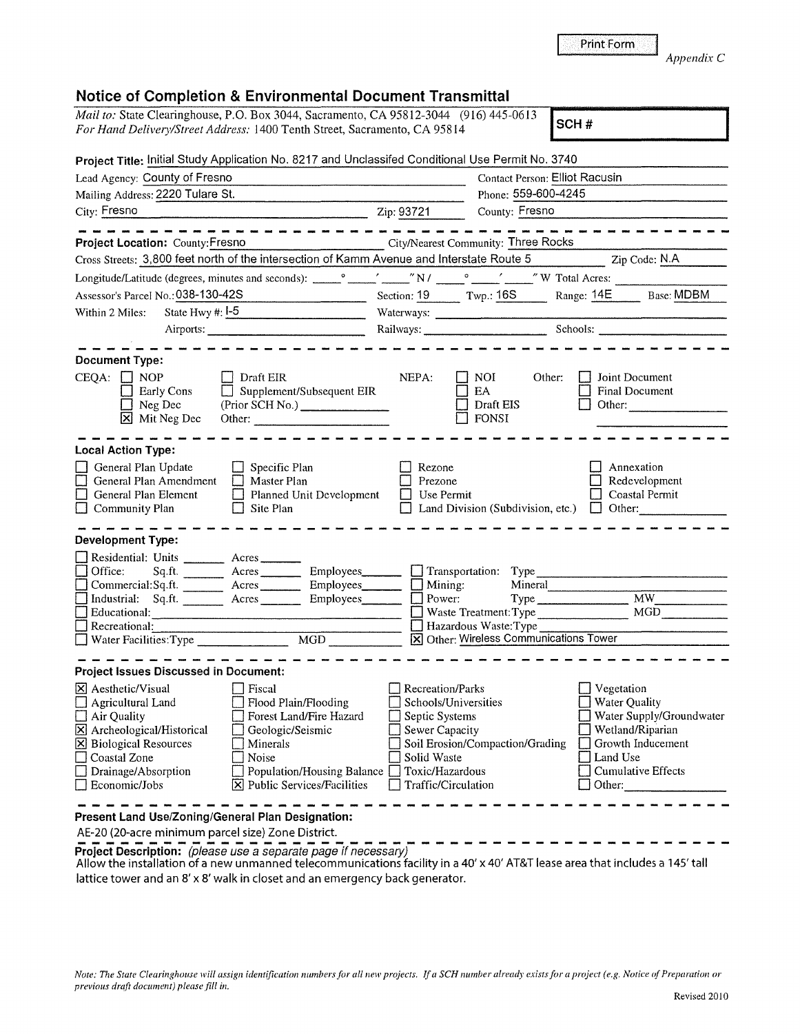|                                                                                                                                                                                                                                                                                                                                                                                                                                    | <b>Print Form</b><br>Appendix C                                |
|------------------------------------------------------------------------------------------------------------------------------------------------------------------------------------------------------------------------------------------------------------------------------------------------------------------------------------------------------------------------------------------------------------------------------------|----------------------------------------------------------------|
| <b>Notice of Completion &amp; Environmental Document Transmittal</b><br>Mail to: State Clearinghouse, P.O. Box 3044, Sacramento, CA 95812-3044 (916) 445-0613                                                                                                                                                                                                                                                                      |                                                                |
| For Hand Delivery/Street Address: 1400 Tenth Street, Sacramento, CA 95814                                                                                                                                                                                                                                                                                                                                                          | SCH#                                                           |
| Project Title: Initial Study Application No. 8217 and Unclassifed Conditional Use Permit No. 3740                                                                                                                                                                                                                                                                                                                                  |                                                                |
| Lead Agency: County of Fresno                                                                                                                                                                                                                                                                                                                                                                                                      | <b>Contact Person: Elliot Racusin</b>                          |
| Mailing Address: 2220 Tulare St.<br>Phone: 559-600-4245                                                                                                                                                                                                                                                                                                                                                                            |                                                                |
| City: Fresno<br>$\frac{1}{2}$ Zip: 93721<br>County: Fresno                                                                                                                                                                                                                                                                                                                                                                         |                                                                |
|                                                                                                                                                                                                                                                                                                                                                                                                                                    |                                                                |
| <b>City/Nearest Community: Three Rocks</b><br>Project Location: County: Fresno                                                                                                                                                                                                                                                                                                                                                     |                                                                |
| Cross Streets: 3,800 feet north of the intersection of Kamm Avenue and Interstate Route 5                                                                                                                                                                                                                                                                                                                                          | Zip Code: N.A                                                  |
| $\sqrt{N/1 - N}$ $\sim$ $\sqrt{N}$ $\sqrt{N}$ Total Acres:<br>Longitude/Latitude (degrees, minutes and seconds): _____________________________                                                                                                                                                                                                                                                                                     |                                                                |
| Section: 19 Twp.: 16S Range: 14E Base: MDBM<br>Assessor's Parcel No.: 038-130-42S                                                                                                                                                                                                                                                                                                                                                  |                                                                |
| State Hwy $#: \mathsf{I}$ -5<br>Within 2 Miles:                                                                                                                                                                                                                                                                                                                                                                                    |                                                                |
| Railways: Schools: Schools:                                                                                                                                                                                                                                                                                                                                                                                                        |                                                                |
| <b>Document Type:</b><br>$CEQA: \Box NOP$<br>Draft EIR<br>NEPA:<br>NOI.<br><b>Early Cons</b><br>$\Box$ Supplement/Subsequent EIR<br>EA.<br>$\Box$ Neg Dec<br>Draft EIS<br>X Mit Neg Dec<br>FONSI<br>Other: and the contract of the contract of the contract of the contract of the contract of the contract of the contract of the contract of the contract of the contract of the contract of the contract of the contract of the | Joint Document<br>Other:<br><b>Final Document</b><br>Other:    |
| <b>Local Action Type:</b>                                                                                                                                                                                                                                                                                                                                                                                                          |                                                                |
| General Plan Update<br>$\Box$ Specific Plan<br>Rezone<br>General Plan Amendment<br>Master Plan<br>Prezone<br>Planned Unit Development<br>General Plan Element<br>Use Permit<br>$\Box$ Community Plan<br>$\Box$ Site Plan<br>Land Division (Subdivision, etc.)                                                                                                                                                                      | Annexation<br>Redevelopment<br>Coastal Permit<br>$\Box$ Other: |
| <b>Development Type:</b>                                                                                                                                                                                                                                                                                                                                                                                                           |                                                                |
| Residential: Units _______ Acres                                                                                                                                                                                                                                                                                                                                                                                                   |                                                                |
| Office:<br>Sq.ft. __________ Acres __________ Employees____<br>$\Box$ Transportation:<br>Type<br>Mineral<br>Mining:                                                                                                                                                                                                                                                                                                                |                                                                |
| Commercial:Sq.ft. ________ Acres _________ Employees___<br>Power:<br>Employees_                                                                                                                                                                                                                                                                                                                                                    | $\overline{MW}$                                                |
| Industrial: Sq.ft. Acres ________<br>Educational:<br>Waste Treatment: Type                                                                                                                                                                                                                                                                                                                                                         | MGD                                                            |
| Hazardous Waste: Type<br>Recreational:                                                                                                                                                                                                                                                                                                                                                                                             |                                                                |
| Water Facilities: Type<br>[X] Other: Wireless Communications Tower<br>$\overline{MGD}$                                                                                                                                                                                                                                                                                                                                             |                                                                |

| <b>Project Issues Discussed in Document:</b>                                                                                                                                                                               |                                                                                                                                                                                                                  |                                                                                                                                                       |                                                                                                                                                       |
|----------------------------------------------------------------------------------------------------------------------------------------------------------------------------------------------------------------------------|------------------------------------------------------------------------------------------------------------------------------------------------------------------------------------------------------------------|-------------------------------------------------------------------------------------------------------------------------------------------------------|-------------------------------------------------------------------------------------------------------------------------------------------------------|
| X Aesthetic/Visual<br>$\Box$ Agricultural Land<br>$\Box$ Air Quality<br>$\boxtimes$ Archeological/Historical<br><b>X</b> Biological Resources<br>$\Box$ Coastal Zone<br>$\Box$ Drainage/Absorption<br>$\Box$ Economic/Jobs | <sup>1</sup> Fiscal<br>Flood Plain/Flooding<br>Forest Land/Fire Hazard<br>Geologic/Seismic<br>Minerals<br>Noise<br>Population/Housing Balance noxic/Hazardous<br>$\boxed{\mathbf{X}}$ Public Services/Facilities | Recreation/Parks<br>Schools/Universities<br>Septic Systems<br>Sewer Capacity<br>Soil Erosion/Compaction/Grading<br>Solid Waste<br>Traffic/Circulation | Vegetation<br><b>Water Quality</b><br>Water Supply/Groundwater<br>Wetland/Riparian<br>Growth Inducement<br>Land Use<br>Cumulative Effects<br>  Other: |
|                                                                                                                                                                                                                            |                                                                                                                                                                                                                  |                                                                                                                                                       |                                                                                                                                                       |

**Present Land Use/Zoning/General Plan Designation:** 

AE-20 (20-acre minimum parcel size) Zone District.

AE-20 (20-acre minimum parcel size) Zone District.<br> **Project Description:** (please use a separate page if necessary)<br>
Allow the installation of a new unmanned telecommunications facility in a 40' x 40' AT&T lease area tha lattice tower and an 8' x 8' walk in closet and an emergency back generator.